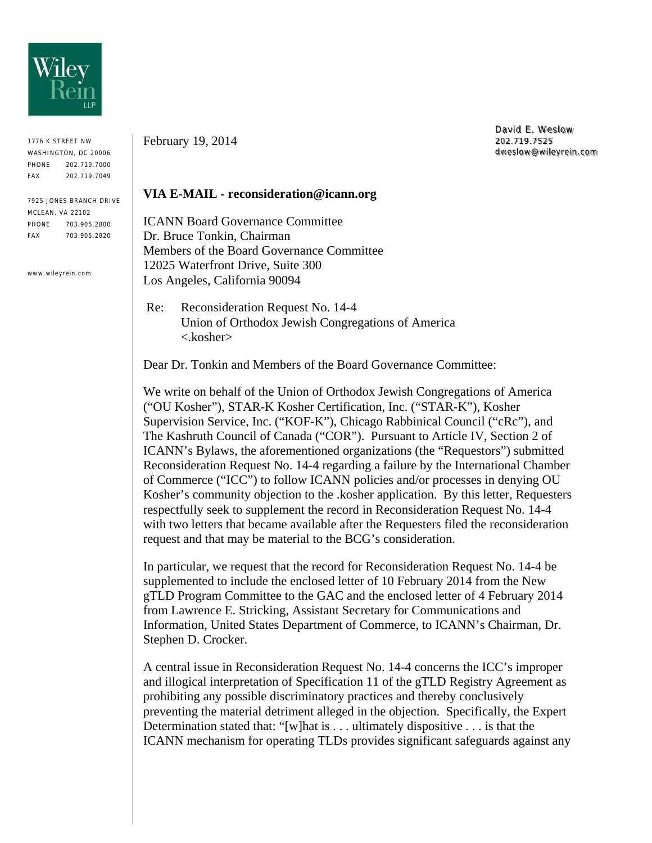

1776 K STREET NW WASHINGTON, DC 20006 PHONE 202.719.7000 FAX 202.719.7049

7925 JONES BRANCH DRIVE MCLEAN, VA 22102 PHONE 703.905.2800 FAX 703.905.2820

www.wileyrein.com

February 19, 2014

David E. Weslow 202.719.7525 dweslow@wileyrein.com

## **VIA E-MAIL - reconsideration@icann.org**

ICANN Board Governance Committee Dr. Bruce Tonkin, Chairman Members of the Board Governance Committee 12025 Waterfront Drive, Suite 300 Los Angeles, California 90094

 Re: Reconsideration Request No. 14-4 Union of Orthodox Jewish Congregations of America <.kosher>

Dear Dr. Tonkin and Members of the Board Governance Committee:

We write on behalf of the Union of Orthodox Jewish Congregations of America ("OU Kosher"), STAR-K Kosher Certification, Inc. ("STAR-K"), Kosher Supervision Service, Inc. ("KOF-K"), Chicago Rabbinical Council ("cRc"), and The Kashruth Council of Canada ("COR"). Pursuant to Article IV, Section 2 of ICANN's Bylaws, the aforementioned organizations (the "Requestors") submitted Reconsideration Request No. 14-4 regarding a failure by the International Chamber of Commerce ("ICC") to follow ICANN policies and/or processes in denying OU Kosher's community objection to the .kosher application. By this letter, Requesters respectfully seek to supplement the record in Reconsideration Request No. 14-4 with two letters that became available after the Requesters filed the reconsideration request and that may be material to the BCG's consideration.

In particular, we request that the record for Reconsideration Request No. 14-4 be supplemented to include the enclosed letter of 10 February 2014 from the New gTLD Program Committee to the GAC and the enclosed letter of 4 February 2014 from Lawrence E. Stricking, Assistant Secretary for Communications and Information, United States Department of Commerce, to ICANN's Chairman, Dr. Stephen D. Crocker.

A central issue in Reconsideration Request No. 14-4 concerns the ICC's improper and illogical interpretation of Specification 11 of the gTLD Registry Agreement as prohibiting any possible discriminatory practices and thereby conclusively preventing the material detriment alleged in the objection. Specifically, the Expert Determination stated that: "[w]hat is . . . ultimately dispositive . . . is that the ICANN mechanism for operating TLDs provides significant safeguards against any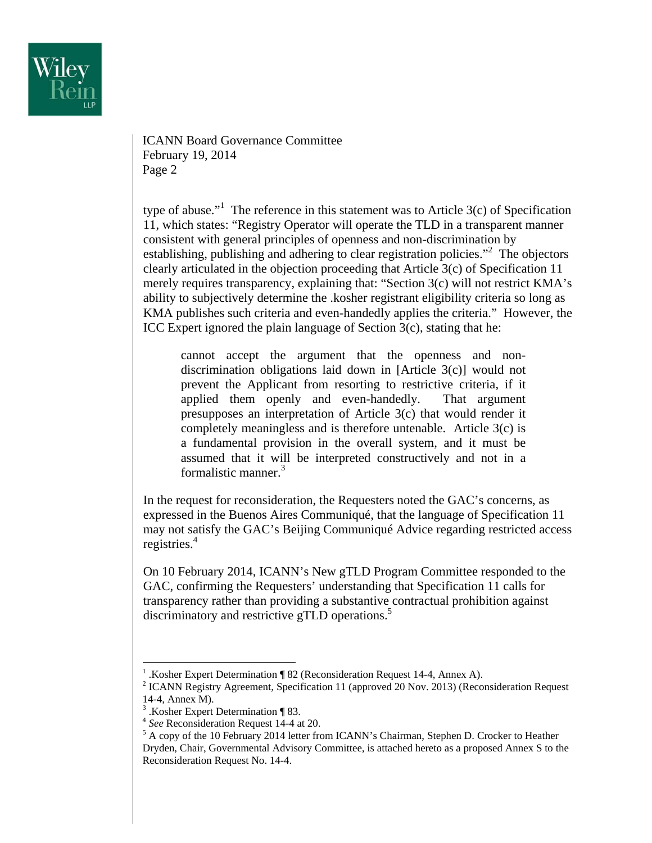

ICANN Board Governance Committee February 19, 2014 Page 2

type of abuse."<sup>1</sup> The reference in this statement was to Article  $3(c)$  of Specification 11, which states: "Registry Operator will operate the TLD in a transparent manner consistent with general principles of openness and non-discrimination by establishing, publishing and adhering to clear registration policies."<sup>2</sup> The objectors clearly articulated in the objection proceeding that Article 3(c) of Specification 11 merely requires transparency, explaining that: "Section 3(c) will not restrict KMA's ability to subjectively determine the .kosher registrant eligibility criteria so long as KMA publishes such criteria and even-handedly applies the criteria." However, the ICC Expert ignored the plain language of Section 3(c), stating that he:

cannot accept the argument that the openness and nondiscrimination obligations laid down in [Article 3(c)] would not prevent the Applicant from resorting to restrictive criteria, if it applied them openly and even-handedly. That argument presupposes an interpretation of Article 3(c) that would render it completely meaningless and is therefore untenable. Article 3(c) is a fundamental provision in the overall system, and it must be assumed that it will be interpreted constructively and not in a formalistic manner.3

In the request for reconsideration, the Requesters noted the GAC's concerns, as expressed in the Buenos Aires Communiqué, that the language of Specification 11 may not satisfy the GAC's Beijing Communiqué Advice regarding restricted access registries.4

On 10 February 2014, ICANN's New gTLD Program Committee responded to the GAC, confirming the Requesters' understanding that Specification 11 calls for transparency rather than providing a substantive contractual prohibition against discriminatory and restrictive gTLD operations.<sup>5</sup>

 $\overline{a}$ 

<sup>&</sup>lt;sup>1</sup> .Kosher Expert Determination ¶ 82 (Reconsideration Request 14-4, Annex A).

<sup>&</sup>lt;sup>2</sup> ICANN Registry Agreement, Specification 11 (approved 20 Nov. 2013) (Reconsideration Request 14-4, Annex M).

<sup>3</sup> .Kosher Expert Determination ¶ 83.

<sup>4</sup> *See* Reconsideration Request 14-4 at 20. 5

<sup>&</sup>lt;sup>5</sup> A copy of the 10 February 2014 letter from ICANN's Chairman, Stephen D. Crocker to Heather Dryden, Chair, Governmental Advisory Committee, is attached hereto as a proposed Annex S to the Reconsideration Request No. 14-4.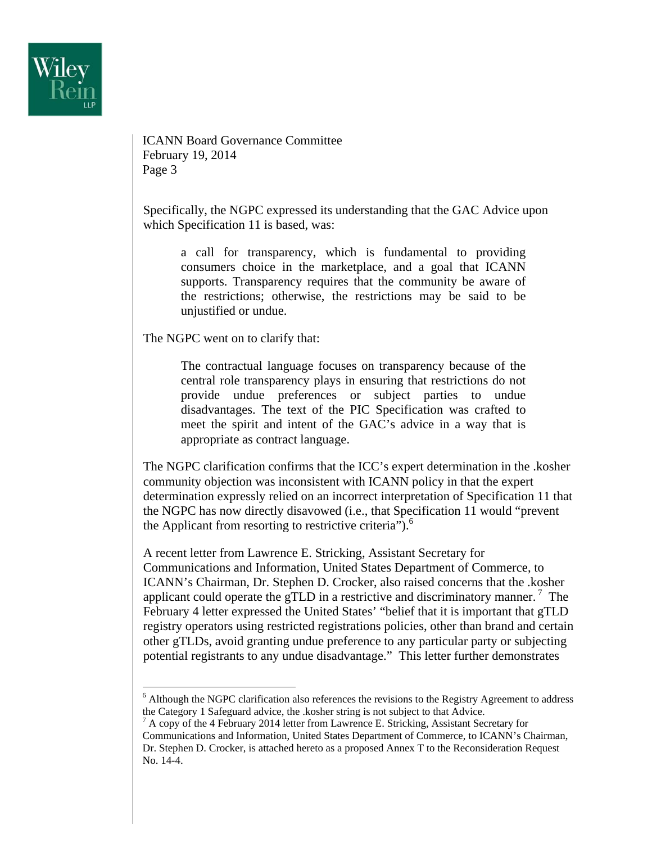

ICANN Board Governance Committee February 19, 2014 Page 3

Specifically, the NGPC expressed its understanding that the GAC Advice upon which Specification 11 is based, was:

a call for transparency, which is fundamental to providing consumers choice in the marketplace, and a goal that ICANN supports. Transparency requires that the community be aware of the restrictions; otherwise, the restrictions may be said to be unjustified or undue.

The NGPC went on to clarify that:

 $\overline{a}$ 

The contractual language focuses on transparency because of the central role transparency plays in ensuring that restrictions do not provide undue preferences or subject parties to undue disadvantages. The text of the PIC Specification was crafted to meet the spirit and intent of the GAC's advice in a way that is appropriate as contract language.

The NGPC clarification confirms that the ICC's expert determination in the .kosher community objection was inconsistent with ICANN policy in that the expert determination expressly relied on an incorrect interpretation of Specification 11 that the NGPC has now directly disavowed (i.e., that Specification 11 would "prevent the Applicant from resorting to restrictive criteria"). $<sup>6</sup>$ </sup>

A recent letter from Lawrence E. Stricking, Assistant Secretary for Communications and Information, United States Department of Commerce, to ICANN's Chairman, Dr. Stephen D. Crocker, also raised concerns that the .kosher applicant could operate the gTLD in a restrictive and discriminatory manner.<sup>7</sup> The February 4 letter expressed the United States' "belief that it is important that gTLD registry operators using restricted registrations policies, other than brand and certain other gTLDs, avoid granting undue preference to any particular party or subjecting potential registrants to any undue disadvantage." This letter further demonstrates

<sup>&</sup>lt;sup>6</sup> Although the NGPC clarification also references the revisions to the Registry Agreement to address the Category 1 Safeguard advice, the .kosher string is not subject to that Advice.

<sup>&</sup>lt;sup>7</sup> A copy of the 4 February 2014 letter from Lawrence E. Stricking, Assistant Secretary for Communications and Information, United States Department of Commerce, to ICANN's Chairman, Dr. Stephen D. Crocker, is attached hereto as a proposed Annex T to the Reconsideration Request No. 14-4.